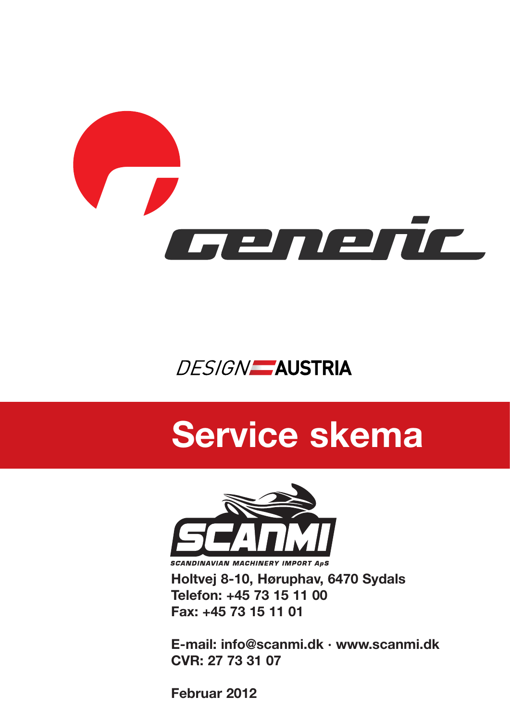

## **DESIGN** AUSTRIA

## **Service skema**



**Holtvej 8-10, Høruphav, 6470 Sydals Telefon: +45 73 15 11 00 Fax: +45 73 15 11 01**

**E-mail: info@scanmi.dk · www.scanmi.dk CVR: 27 73 31 07**

**Februar 2012**